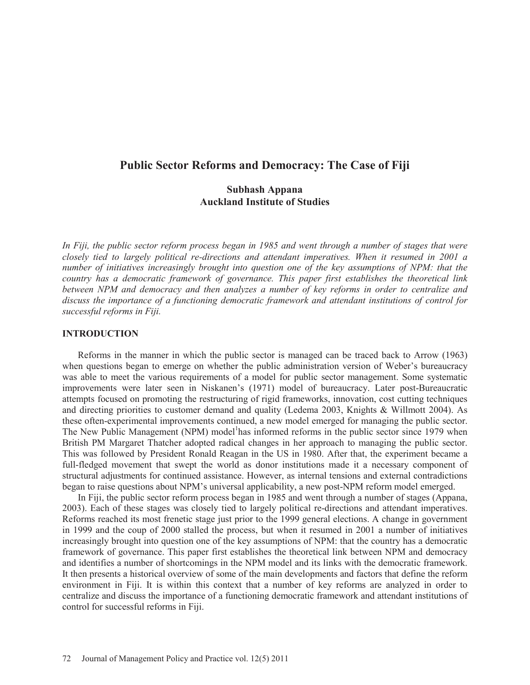# **Public Sector Reforms and Democracy: The Case of Fiji**

## **Subhash Appana Auckland Institute of Studies**

In Fiji, the public sector reform process began in 1985 and went through a number of stages that were *closely tied to largely political re-directions and attendant imperatives. When it resumed in 2001 a number of initiatives increasingly brought into question one of the key assumptions of NPM: that the country has a democratic framework of governance. This paper first establishes the theoretical link between NPM and democracy and then analyzes a number of key reforms in order to centralize and discuss the importance of a functioning democratic framework and attendant institutions of control for successful reforms in Fiji.* 

### **INTRODUCTION**

Reforms in the manner in which the public sector is managed can be traced back to Arrow (1963) when questions began to emerge on whether the public administration version of Weber's bureaucracy was able to meet the various requirements of a model for public sector management. Some systematic improvements were later seen in Niskanen's (1971) model of bureaucracy. Later post-Bureaucratic attempts focused on promoting the restructuring of rigid frameworks, innovation, cost cutting techniques and directing priorities to customer demand and quality (Ledema 2003, Knights & Willmott 2004). As these often-experimental improvements continued, a new model emerged for managing the public sector. The New Public Management (NPM) model<sup>1</sup>has informed reforms in the public sector since 1979 when British PM Margaret Thatcher adopted radical changes in her approach to managing the public sector. This was followed by President Ronald Reagan in the US in 1980. After that, the experiment became a full-fledged movement that swept the world as donor institutions made it a necessary component of structural adjustments for continued assistance. However, as internal tensions and external contradictions began to raise questions about NPM's universal applicability, a new post-NPM reform model emerged.

In Fiji, the public sector reform process began in 1985 and went through a number of stages (Appana, 2003). Each of these stages was closely tied to largely political re-directions and attendant imperatives. Reforms reached its most frenetic stage just prior to the 1999 general elections. A change in government in 1999 and the coup of 2000 stalled the process, but when it resumed in 2001 a number of initiatives increasingly brought into question one of the key assumptions of NPM: that the country has a democratic framework of governance. This paper first establishes the theoretical link between NPM and democracy and identifies a number of shortcomings in the NPM model and its links with the democratic framework. It then presents a historical overview of some of the main developments and factors that define the reform environment in Fiji. It is within this context that a number of key reforms are analyzed in order to centralize and discuss the importance of a functioning democratic framework and attendant institutions of control for successful reforms in Fiji.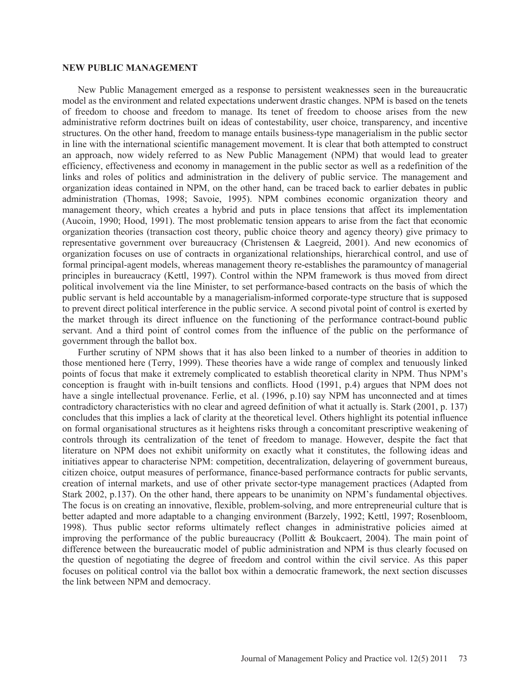#### **NEW PUBLIC MANAGEMENT**

New Public Management emerged as a response to persistent weaknesses seen in the bureaucratic model as the environment and related expectations underwent drastic changes. NPM is based on the tenets of freedom to choose and freedom to manage. Its tenet of freedom to choose arises from the new administrative reform doctrines built on ideas of contestability, user choice, transparency, and incentive structures. On the other hand, freedom to manage entails business-type managerialism in the public sector in line with the international scientific management movement. It is clear that both attempted to construct an approach, now widely referred to as New Public Management (NPM) that would lead to greater efficiency, effectiveness and economy in management in the public sector as well as a redefinition of the links and roles of politics and administration in the delivery of public service. The management and organization ideas contained in NPM, on the other hand, can be traced back to earlier debates in public administration (Thomas, 1998; Savoie, 1995). NPM combines economic organization theory and management theory, which creates a hybrid and puts in place tensions that affect its implementation (Aucoin, 1990; Hood, 1991). The most problematic tension appears to arise from the fact that economic organization theories (transaction cost theory, public choice theory and agency theory) give primacy to representative government over bureaucracy (Christensen & Laegreid, 2001). And new economics of organization focuses on use of contracts in organizational relationships, hierarchical control, and use of formal principal-agent models, whereas management theory re-establishes the paramountcy of managerial principles in bureaucracy (Kettl, 1997). Control within the NPM framework is thus moved from direct political involvement via the line Minister, to set performance-based contracts on the basis of which the public servant is held accountable by a managerialism-informed corporate-type structure that is supposed to prevent direct political interference in the public service. A second pivotal point of control is exerted by the market through its direct influence on the functioning of the performance contract-bound public servant. And a third point of control comes from the influence of the public on the performance of government through the ballot box.

Further scrutiny of NPM shows that it has also been linked to a number of theories in addition to those mentioned here (Terry, 1999). These theories have a wide range of complex and tenuously linked points of focus that make it extremely complicated to establish theoretical clarity in NPM. Thus NPM's conception is fraught with in-built tensions and conflicts. Hood (1991, p.4) argues that NPM does not have a single intellectual provenance. Ferlie, et al. (1996, p.10) say NPM has unconnected and at times contradictory characteristics with no clear and agreed definition of what it actually is. Stark (2001, p. 137) concludes that this implies a lack of clarity at the theoretical level. Others highlight its potential influence on formal organisational structures as it heightens risks through a concomitant prescriptive weakening of controls through its centralization of the tenet of freedom to manage. However, despite the fact that literature on NPM does not exhibit uniformity on exactly what it constitutes, the following ideas and initiatives appear to characterise NPM: competition, decentralization, delayering of government bureaus, citizen choice, output measures of performance, finance-based performance contracts for public servants, creation of internal markets, and use of other private sector-type management practices (Adapted from Stark 2002, p.137). On the other hand, there appears to be unanimity on NPM's fundamental objectives. The focus is on creating an innovative, flexible, problem-solving, and more entrepreneurial culture that is better adapted and more adaptable to a changing environment (Barzely, 1992; Kettl, 1997; Rosenbloom, 1998). Thus public sector reforms ultimately reflect changes in administrative policies aimed at improving the performance of the public bureaucracy (Pollitt & Boukcaert, 2004). The main point of difference between the bureaucratic model of public administration and NPM is thus clearly focused on the question of negotiating the degree of freedom and control within the civil service. As this paper focuses on political control via the ballot box within a democratic framework, the next section discusses the link between NPM and democracy.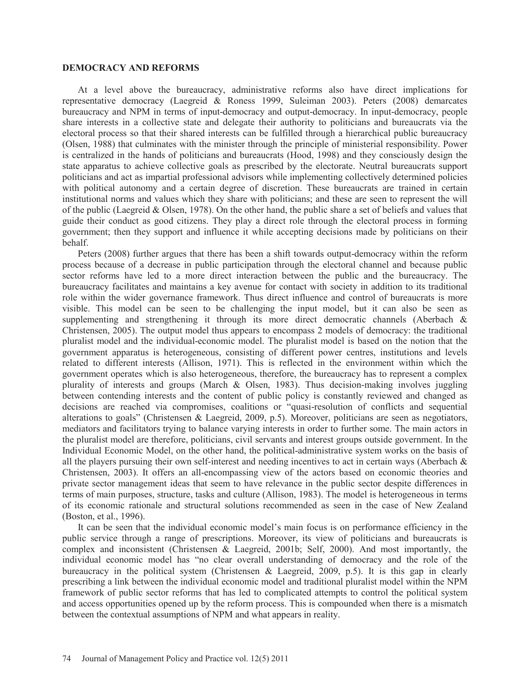#### **DEMOCRACY AND REFORMS**

At a level above the bureaucracy, administrative reforms also have direct implications for representative democracy (Laegreid & Roness 1999, Suleiman 2003). Peters (2008) demarcates bureaucracy and NPM in terms of input-democracy and output-democracy. In input-democracy, people share interests in a collective state and delegate their authority to politicians and bureaucrats via the electoral process so that their shared interests can be fulfilled through a hierarchical public bureaucracy (Olsen, 1988) that culminates with the minister through the principle of ministerial responsibility. Power is centralized in the hands of politicians and bureaucrats (Hood, 1998) and they consciously design the state apparatus to achieve collective goals as prescribed by the electorate. Neutral bureaucrats support politicians and act as impartial professional advisors while implementing collectively determined policies with political autonomy and a certain degree of discretion. These bureaucrats are trained in certain institutional norms and values which they share with politicians; and these are seen to represent the will of the public (Laegreid & Olsen, 1978). On the other hand, the public share a set of beliefs and values that guide their conduct as good citizens. They play a direct role through the electoral process in forming government; then they support and influence it while accepting decisions made by politicians on their behalf.

Peters (2008) further argues that there has been a shift towards output-democracy within the reform process because of a decrease in public participation through the electoral channel and because public sector reforms have led to a more direct interaction between the public and the bureaucracy. The bureaucracy facilitates and maintains a key avenue for contact with society in addition to its traditional role within the wider governance framework. Thus direct influence and control of bureaucrats is more visible. This model can be seen to be challenging the input model, but it can also be seen as supplementing and strengthening it through its more direct democratic channels (Aberbach & Christensen, 2005). The output model thus appears to encompass 2 models of democracy: the traditional pluralist model and the individual-economic model. The pluralist model is based on the notion that the government apparatus is heterogeneous, consisting of different power centres, institutions and levels related to different interests (Allison, 1971). This is reflected in the environment within which the government operates which is also heterogeneous, therefore, the bureaucracy has to represent a complex plurality of interests and groups (March & Olsen, 1983). Thus decision-making involves juggling between contending interests and the content of public policy is constantly reviewed and changed as decisions are reached via compromises, coalitions or "quasi-resolution of conflicts and sequential alterations to goals" (Christensen & Laegreid, 2009, p.5). Moreover, politicians are seen as negotiators, mediators and facilitators trying to balance varying interests in order to further some. The main actors in the pluralist model are therefore, politicians, civil servants and interest groups outside government. In the Individual Economic Model, on the other hand, the political-administrative system works on the basis of all the players pursuing their own self-interest and needing incentives to act in certain ways (Aberbach  $\&$ Christensen, 2003). It offers an all-encompassing view of the actors based on economic theories and private sector management ideas that seem to have relevance in the public sector despite differences in terms of main purposes, structure, tasks and culture (Allison, 1983). The model is heterogeneous in terms of its economic rationale and structural solutions recommended as seen in the case of New Zealand (Boston, et al., 1996).

It can be seen that the individual economic model's main focus is on performance efficiency in the public service through a range of prescriptions. Moreover, its view of politicians and bureaucrats is complex and inconsistent (Christensen & Laegreid, 2001b; Self, 2000). And most importantly, the individual economic model has "no clear overall understanding of democracy and the role of the bureaucracy in the political system (Christensen & Laegreid, 2009, p.5). It is this gap in clearly prescribing a link between the individual economic model and traditional pluralist model within the NPM framework of public sector reforms that has led to complicated attempts to control the political system and access opportunities opened up by the reform process. This is compounded when there is a mismatch between the contextual assumptions of NPM and what appears in reality.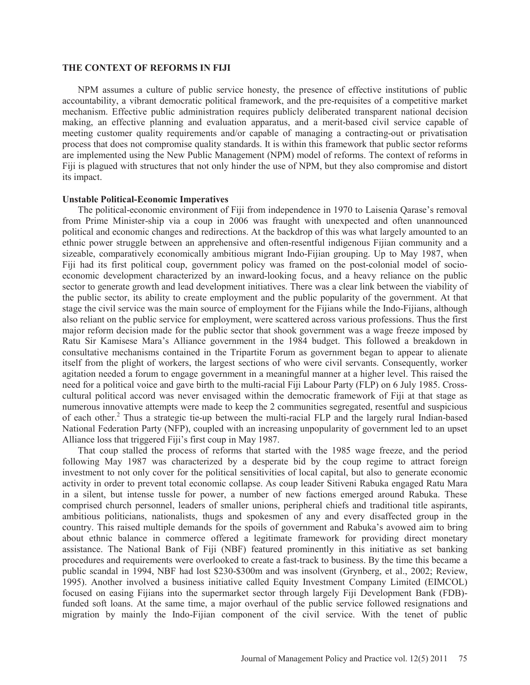#### **THE CONTEXT OF REFORMS IN FIJI**

NPM assumes a culture of public service honesty, the presence of effective institutions of public accountability, a vibrant democratic political framework, and the pre-requisites of a competitive market mechanism. Effective public administration requires publicly deliberated transparent national decision making, an effective planning and evaluation apparatus, and a merit-based civil service capable of meeting customer quality requirements and/or capable of managing a contracting-out or privatisation process that does not compromise quality standards. It is within this framework that public sector reforms are implemented using the New Public Management (NPM) model of reforms. The context of reforms in Fiji is plagued with structures that not only hinder the use of NPM, but they also compromise and distort its impact.

### **Unstable Political-Economic Imperatives**

The political-economic environment of Fiji from independence in 1970 to Laisenia Qarase's removal from Prime Minister-ship via a coup in 2006 was fraught with unexpected and often unannounced political and economic changes and redirections. At the backdrop of this was what largely amounted to an ethnic power struggle between an apprehensive and often-resentful indigenous Fijian community and a sizeable, comparatively economically ambitious migrant Indo-Fijian grouping. Up to May 1987, when Fiji had its first political coup, government policy was framed on the post-colonial model of socioeconomic development characterized by an inward-looking focus, and a heavy reliance on the public sector to generate growth and lead development initiatives. There was a clear link between the viability of the public sector, its ability to create employment and the public popularity of the government. At that stage the civil service was the main source of employment for the Fijians while the Indo-Fijians, although also reliant on the public service for employment, were scattered across various professions. Thus the first major reform decision made for the public sector that shook government was a wage freeze imposed by Ratu Sir Kamisese Mara's Alliance government in the 1984 budget. This followed a breakdown in consultative mechanisms contained in the Tripartite Forum as government began to appear to alienate itself from the plight of workers, the largest sections of who were civil servants. Consequently, worker agitation needed a forum to engage government in a meaningful manner at a higher level. This raised the need for a political voice and gave birth to the multi-racial Fiji Labour Party (FLP) on 6 July 1985. Crosscultural political accord was never envisaged within the democratic framework of Fiji at that stage as numerous innovative attempts were made to keep the 2 communities segregated, resentful and suspicious of each other.<sup>2</sup> Thus a strategic tie-up between the multi-racial FLP and the largely rural Indian-based National Federation Party (NFP), coupled with an increasing unpopularity of government led to an upset Alliance loss that triggered Fiji's first coup in May 1987.

That coup stalled the process of reforms that started with the 1985 wage freeze, and the period following May 1987 was characterized by a desperate bid by the coup regime to attract foreign investment to not only cover for the political sensitivities of local capital, but also to generate economic activity in order to prevent total economic collapse. As coup leader Sitiveni Rabuka engaged Ratu Mara in a silent, but intense tussle for power, a number of new factions emerged around Rabuka. These comprised church personnel, leaders of smaller unions, peripheral chiefs and traditional title aspirants, ambitious politicians, nationalists, thugs and spokesmen of any and every disaffected group in the country. This raised multiple demands for the spoils of government and Rabuka's avowed aim to bring about ethnic balance in commerce offered a legitimate framework for providing direct monetary assistance. The National Bank of Fiji (NBF) featured prominently in this initiative as set banking procedures and requirements were overlooked to create a fast-track to business. By the time this became a public scandal in 1994, NBF had lost \$230-\$300m and was insolvent (Grynberg, et al., 2002; Review, 1995). Another involved a business initiative called Equity Investment Company Limited (EIMCOL) focused on easing Fijians into the supermarket sector through largely Fiji Development Bank (FDB) funded soft loans. At the same time, a major overhaul of the public service followed resignations and migration by mainly the Indo-Fijian component of the civil service. With the tenet of public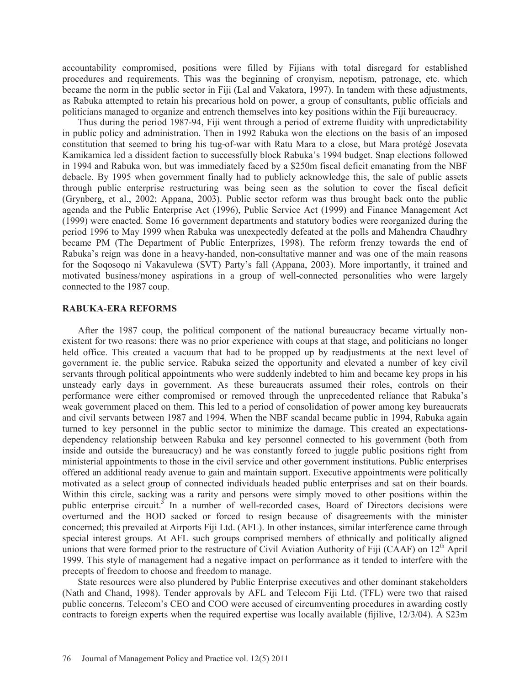accountability compromised, positions were filled by Fijians with total disregard for established procedures and requirements. This was the beginning of cronyism, nepotism, patronage, etc. which became the norm in the public sector in Fiji (Lal and Vakatora, 1997). In tandem with these adjustments, as Rabuka attempted to retain his precarious hold on power, a group of consultants, public officials and politicians managed to organize and entrench themselves into key positions within the Fiji bureaucracy.

Thus during the period 1987-94, Fiji went through a period of extreme fluidity with unpredictability in public policy and administration. Then in 1992 Rabuka won the elections on the basis of an imposed constitution that seemed to bring his tug-of-war with Ratu Mara to a close, but Mara protégé Josevata Kamikamica led a dissident faction to successfully block Rabuka's 1994 budget. Snap elections followed in 1994 and Rabuka won, but was immediately faced by a \$250m fiscal deficit emanating from the NBF debacle. By 1995 when government finally had to publicly acknowledge this, the sale of public assets through public enterprise restructuring was being seen as the solution to cover the fiscal deficit (Grynberg, et al., 2002; Appana, 2003). Public sector reform was thus brought back onto the public agenda and the Public Enterprise Act (1996), Public Service Act (1999) and Finance Management Act (1999) were enacted. Some 16 government departments and statutory bodies were reorganized during the period 1996 to May 1999 when Rabuka was unexpectedly defeated at the polls and Mahendra Chaudhry became PM (The Department of Public Enterprizes, 1998). The reform frenzy towards the end of Rabuka's reign was done in a heavy-handed, non-consultative manner and was one of the main reasons for the Soqosoqo ni Vakavulewa (SVT) Party's fall (Appana, 2003). More importantly, it trained and motivated business/money aspirations in a group of well-connected personalities who were largely connected to the 1987 coup.

### **RABUKA-ERA REFORMS**

After the 1987 coup, the political component of the national bureaucracy became virtually nonexistent for two reasons: there was no prior experience with coups at that stage, and politicians no longer held office. This created a vacuum that had to be propped up by readjustments at the next level of government ie. the public service. Rabuka seized the opportunity and elevated a number of key civil servants through political appointments who were suddenly indebted to him and became key props in his unsteady early days in government. As these bureaucrats assumed their roles, controls on their performance were either compromised or removed through the unprecedented reliance that Rabuka's weak government placed on them. This led to a period of consolidation of power among key bureaucrats and civil servants between 1987 and 1994. When the NBF scandal became public in 1994, Rabuka again turned to key personnel in the public sector to minimize the damage. This created an expectationsdependency relationship between Rabuka and key personnel connected to his government (both from inside and outside the bureaucracy) and he was constantly forced to juggle public positions right from ministerial appointments to those in the civil service and other government institutions. Public enterprises offered an additional ready avenue to gain and maintain support. Executive appointments were politically motivated as a select group of connected individuals headed public enterprises and sat on their boards. Within this circle, sacking was a rarity and persons were simply moved to other positions within the public enterprise circuit.<sup>3</sup> In a number of well-recorded cases, Board of Directors decisions were overturned and the BOD sacked or forced to resign because of disagreements with the minister concerned; this prevailed at Airports Fiji Ltd. (AFL). In other instances, similar interference came through special interest groups. At AFL such groups comprised members of ethnically and politically aligned unions that were formed prior to the restructure of Civil Aviation Authority of Fiji (CAAF) on  $12<sup>th</sup>$  April 1999. This style of management had a negative impact on performance as it tended to interfere with the precepts of freedom to choose and freedom to manage.

State resources were also plundered by Public Enterprise executives and other dominant stakeholders (Nath and Chand, 1998). Tender approvals by AFL and Telecom Fiji Ltd. (TFL) were two that raised public concerns. Telecom's CEO and COO were accused of circumventing procedures in awarding costly contracts to foreign experts when the required expertise was locally available (fijilive, 12/3/04). A \$23m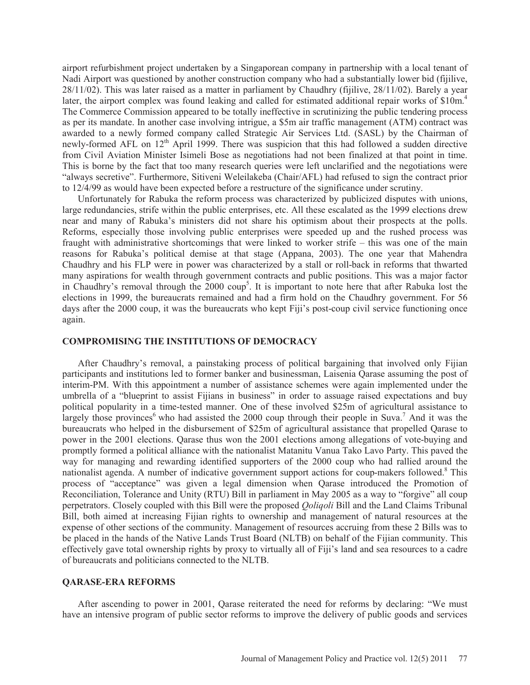airport refurbishment project undertaken by a Singaporean company in partnership with a local tenant of Nadi Airport was questioned by another construction company who had a substantially lower bid (fijilive, 28/11/02). This was later raised as a matter in parliament by Chaudhry (fijilive, 28/11/02). Barely a year later, the airport complex was found leaking and called for estimated additional repair works of \$10m.<sup>4</sup> The Commerce Commission appeared to be totally ineffective in scrutinizing the public tendering process as per its mandate. In another case involving intrigue, a \$5m air traffic management (ATM) contract was awarded to a newly formed company called Strategic Air Services Ltd. (SASL) by the Chairman of newly-formed AFL on 12<sup>th</sup> April 1999. There was suspicion that this had followed a sudden directive from Civil Aviation Minister Isimeli Bose as negotiations had not been finalized at that point in time. This is borne by the fact that too many research queries were left unclarified and the negotiations were "always secretive". Furthermore, Sitiveni Weleilakeba (Chair/AFL) had refused to sign the contract prior to 12/4/99 as would have been expected before a restructure of the significance under scrutiny.

Unfortunately for Rabuka the reform process was characterized by publicized disputes with unions, large redundancies, strife within the public enterprises, etc. All these escalated as the 1999 elections drew near and many of Rabuka's ministers did not share his optimism about their prospects at the polls. Reforms, especially those involving public enterprises were speeded up and the rushed process was fraught with administrative shortcomings that were linked to worker strife – this was one of the main reasons for Rabuka's political demise at that stage (Appana, 2003). The one year that Mahendra Chaudhry and his FLP were in power was characterized by a stall or roll-back in reforms that thwarted many aspirations for wealth through government contracts and public positions. This was a major factor in Chaudhry's removal through the 2000 coup<sup>5</sup>. It is important to note here that after Rabuka lost the elections in 1999, the bureaucrats remained and had a firm hold on the Chaudhry government. For 56 days after the 2000 coup, it was the bureaucrats who kept Fiji's post-coup civil service functioning once again.

#### **COMPROMISING THE INSTITUTIONS OF DEMOCRACY**

After Chaudhry's removal, a painstaking process of political bargaining that involved only Fijian participants and institutions led to former banker and businessman, Laisenia Qarase assuming the post of interim-PM. With this appointment a number of assistance schemes were again implemented under the umbrella of a "blueprint to assist Fijians in business" in order to assuage raised expectations and buy political popularity in a time-tested manner. One of these involved \$25m of agricultural assistance to largely those provinces<sup>6</sup> who had assisted the 2000 coup through their people in Suva.<sup>7</sup> And it was the bureaucrats who helped in the disbursement of \$25m of agricultural assistance that propelled Qarase to power in the 2001 elections. Qarase thus won the 2001 elections among allegations of vote-buying and promptly formed a political alliance with the nationalist Matanitu Vanua Tako Lavo Party. This paved the way for managing and rewarding identified supporters of the 2000 coup who had rallied around the nationalist agenda. A number of indicative government support actions for coup-makers followed.<sup>8</sup> This process of "acceptance" was given a legal dimension when Qarase introduced the Promotion of Reconciliation, Tolerance and Unity (RTU) Bill in parliament in May 2005 as a way to "forgive" all coup perpetrators. Closely coupled with this Bill were the proposed *Qoliqoli* Bill and the Land Claims Tribunal Bill, both aimed at increasing Fijian rights to ownership and management of natural resources at the expense of other sections of the community. Management of resources accruing from these 2 Bills was to be placed in the hands of the Native Lands Trust Board (NLTB) on behalf of the Fijian community. This effectively gave total ownership rights by proxy to virtually all of Fiji's land and sea resources to a cadre of bureaucrats and politicians connected to the NLTB.

### **QARASE-ERA REFORMS**

After ascending to power in 2001, Qarase reiterated the need for reforms by declaring: "We must have an intensive program of public sector reforms to improve the delivery of public goods and services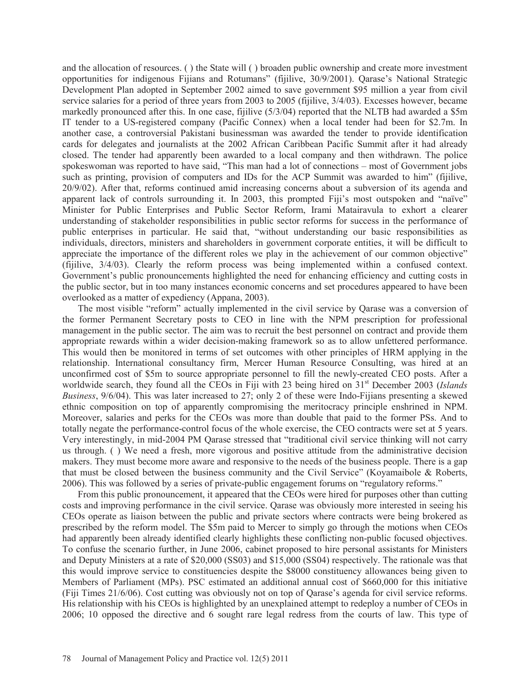and the allocation of resources. ( ) the State will ( ) broaden public ownership and create more investment opportunities for indigenous Fijians and Rotumans" (fijilive, 30/9/2001). Qarase's National Strategic Development Plan adopted in September 2002 aimed to save government \$95 million a year from civil service salaries for a period of three years from 2003 to 2005 (fijilive, 3/4/03). Excesses however, became markedly pronounced after this. In one case, fijilive (5/3/04) reported that the NLTB had awarded a \$5m IT tender to a US-registered company (Pacific Connex) when a local tender had been for \$2.7m. In another case, a controversial Pakistani businessman was awarded the tender to provide identification cards for delegates and journalists at the 2002 African Caribbean Pacific Summit after it had already closed. The tender had apparently been awarded to a local company and then withdrawn. The police spokeswoman was reported to have said, "This man had a lot of connections – most of Government jobs such as printing, provision of computers and IDs for the ACP Summit was awarded to him" (fijilive, 20/9/02). After that, reforms continued amid increasing concerns about a subversion of its agenda and apparent lack of controls surrounding it. In 2003, this prompted Fiji's most outspoken and "naïve" Minister for Public Enterprises and Public Sector Reform, Irami Matairavula to exhort a clearer understanding of stakeholder responsibilities in public sector reforms for success in the performance of public enterprises in particular. He said that, "without understanding our basic responsibilities as individuals, directors, ministers and shareholders in government corporate entities, it will be difficult to appreciate the importance of the different roles we play in the achievement of our common objective" (fijilive, 3/4/03). Clearly the reform process was being implemented within a confused context. Government's public pronouncements highlighted the need for enhancing efficiency and cutting costs in the public sector, but in too many instances economic concerns and set procedures appeared to have been overlooked as a matter of expediency (Appana, 2003).

The most visible "reform" actually implemented in the civil service by Qarase was a conversion of the former Permanent Secretary posts to CEO in line with the NPM prescription for professional management in the public sector. The aim was to recruit the best personnel on contract and provide them appropriate rewards within a wider decision-making framework so as to allow unfettered performance. This would then be monitored in terms of set outcomes with other principles of HRM applying in the relationship. International consultancy firm, Mercer Human Resource Consulting, was hired at an unconfirmed cost of \$5m to source appropriate personnel to fill the newly-created CEO posts. After a worldwide search, they found all the CEOs in Fiji with 23 being hired on 31st December 2003 (*Islands Business*, 9/6/04). This was later increased to 27; only 2 of these were Indo-Fijians presenting a skewed ethnic composition on top of apparently compromising the meritocracy principle enshrined in NPM. Moreover, salaries and perks for the CEOs was more than double that paid to the former PSs. And to totally negate the performance-control focus of the whole exercise, the CEO contracts were set at 5 years. Very interestingly, in mid-2004 PM Qarase stressed that "traditional civil service thinking will not carry us through. ( ) We need a fresh, more vigorous and positive attitude from the administrative decision makers. They must become more aware and responsive to the needs of the business people. There is a gap that must be closed between the business community and the Civil Service" (Koyamaibole & Roberts, 2006). This was followed by a series of private-public engagement forums on "regulatory reforms."

From this public pronouncement, it appeared that the CEOs were hired for purposes other than cutting costs and improving performance in the civil service. Qarase was obviously more interested in seeing his CEOs operate as liaison between the public and private sectors where contracts were being brokered as prescribed by the reform model. The \$5m paid to Mercer to simply go through the motions when CEOs had apparently been already identified clearly highlights these conflicting non-public focused objectives. To confuse the scenario further, in June 2006, cabinet proposed to hire personal assistants for Ministers and Deputy Ministers at a rate of \$20,000 (SS03) and \$15,000 (SS04) respectively. The rationale was that this would improve service to constituencies despite the \$8000 constituency allowances being given to Members of Parliament (MPs). PSC estimated an additional annual cost of \$660,000 for this initiative (Fiji Times 21/6/06). Cost cutting was obviously not on top of Qarase's agenda for civil service reforms. His relationship with his CEOs is highlighted by an unexplained attempt to redeploy a number of CEOs in 2006; 10 opposed the directive and 6 sought rare legal redress from the courts of law. This type of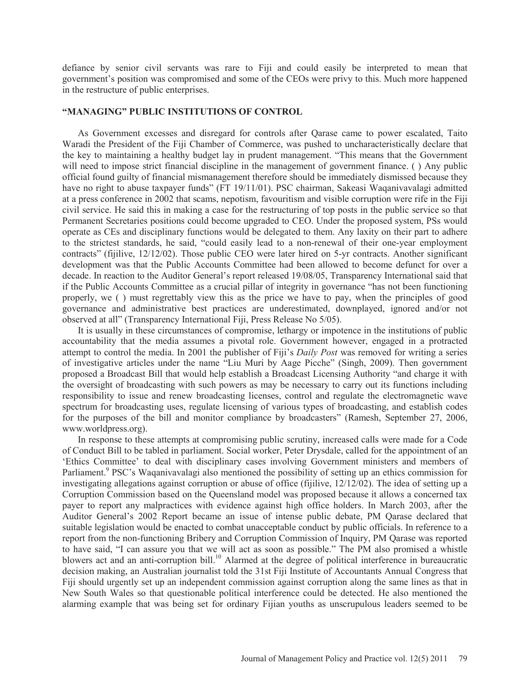defiance by senior civil servants was rare to Fiji and could easily be interpreted to mean that government's position was compromised and some of the CEOs were privy to this. Much more happened in the restructure of public enterprises.

### **"MANAGING" PUBLIC INSTITUTIONS OF CONTROL**

As Government excesses and disregard for controls after Qarase came to power escalated, Taito Waradi the President of the Fiji Chamber of Commerce, was pushed to uncharacteristically declare that the key to maintaining a healthy budget lay in prudent management. "This means that the Government will need to impose strict financial discipline in the management of government finance. () Any public official found guilty of financial mismanagement therefore should be immediately dismissed because they have no right to abuse taxpayer funds" (FT 19/11/01). PSC chairman, Sakeasi Waqanivavalagi admitted at a press conference in 2002 that scams, nepotism, favouritism and visible corruption were rife in the Fiji civil service. He said this in making a case for the restructuring of top posts in the public service so that Permanent Secretaries positions could become upgraded to CEO. Under the proposed system, PSs would operate as CEs and disciplinary functions would be delegated to them. Any laxity on their part to adhere to the strictest standards, he said, "could easily lead to a non-renewal of their one-year employment contracts" (fijilive, 12/12/02). Those public CEO were later hired on 5-yr contracts. Another significant development was that the Public Accounts Committee had been allowed to become defunct for over a decade. In reaction to the Auditor General's report released 19/08/05, Transparency International said that if the Public Accounts Committee as a crucial pillar of integrity in governance "has not been functioning properly, we ( ) must regrettably view this as the price we have to pay, when the principles of good governance and administrative best practices are underestimated, downplayed, ignored and/or not observed at all" (Transparency International Fiji, Press Release No 5/05).

It is usually in these circumstances of compromise, lethargy or impotence in the institutions of public accountability that the media assumes a pivotal role. Government however, engaged in a protracted attempt to control the media. In 2001 the publisher of Fiji's *Daily Post* was removed for writing a series of investigative articles under the name "Liu Muri by Aage Picche" (Singh, 2009). Then government proposed a Broadcast Bill that would help establish a Broadcast Licensing Authority "and charge it with the oversight of broadcasting with such powers as may be necessary to carry out its functions including responsibility to issue and renew broadcasting licenses, control and regulate the electromagnetic wave spectrum for broadcasting uses, regulate licensing of various types of broadcasting, and establish codes for the purposes of the bill and monitor compliance by broadcasters" (Ramesh, September 27, 2006, www.worldpress.org).

In response to these attempts at compromising public scrutiny, increased calls were made for a Code of Conduct Bill to be tabled in parliament. Social worker, Peter Drysdale, called for the appointment of an 'Ethics Committee' to deal with disciplinary cases involving Government ministers and members of Parliament.<sup>9</sup> PSC's Waqanivavalagi also mentioned the possibility of setting up an ethics commission for investigating allegations against corruption or abuse of office (fijilive, 12/12/02). The idea of setting up a Corruption Commission based on the Queensland model was proposed because it allows a concerned tax payer to report any malpractices with evidence against high office holders. In March 2003, after the Auditor General's 2002 Report became an issue of intense public debate, PM Qarase declared that suitable legislation would be enacted to combat unacceptable conduct by public officials. In reference to a report from the non-functioning Bribery and Corruption Commission of Inquiry, PM Qarase was reported to have said, "I can assure you that we will act as soon as possible." The PM also promised a whistle blowers act and an anti-corruption bill.10 Alarmed at the degree of political interference in bureaucratic decision making, an Australian journalist told the 31st Fiji Institute of Accountants Annual Congress that Fiji should urgently set up an independent commission against corruption along the same lines as that in New South Wales so that questionable political interference could be detected. He also mentioned the alarming example that was being set for ordinary Fijian youths as unscrupulous leaders seemed to be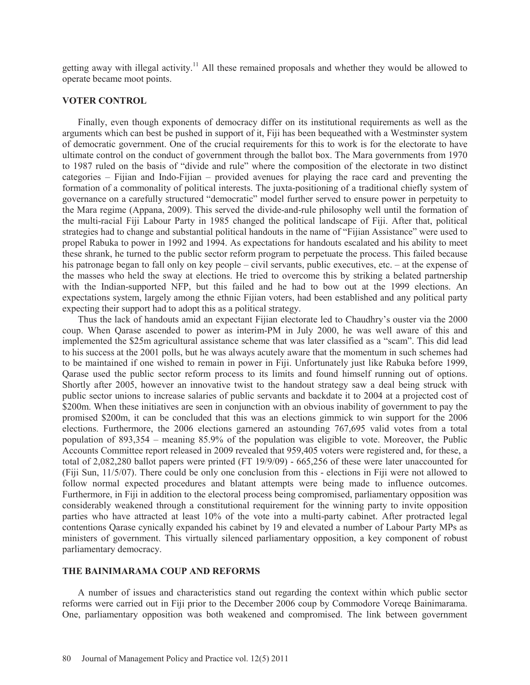getting away with illegal activity.<sup>11</sup> All these remained proposals and whether they would be allowed to operate became moot points.

#### **VOTER CONTROL**

Finally, even though exponents of democracy differ on its institutional requirements as well as the arguments which can best be pushed in support of it, Fiji has been bequeathed with a Westminster system of democratic government. One of the crucial requirements for this to work is for the electorate to have ultimate control on the conduct of government through the ballot box. The Mara governments from 1970 to 1987 ruled on the basis of "divide and rule" where the composition of the electorate in two distinct categories – Fijian and Indo-Fijian – provided avenues for playing the race card and preventing the formation of a commonality of political interests. The juxta-positioning of a traditional chiefly system of governance on a carefully structured "democratic" model further served to ensure power in perpetuity to the Mara regime (Appana, 2009). This served the divide-and-rule philosophy well until the formation of the multi-racial Fiji Labour Party in 1985 changed the political landscape of Fiji. After that, political strategies had to change and substantial political handouts in the name of "Fijian Assistance" were used to propel Rabuka to power in 1992 and 1994. As expectations for handouts escalated and his ability to meet these shrank, he turned to the public sector reform program to perpetuate the process. This failed because his patronage began to fall only on key people – civil servants, public executives, etc. – at the expense of the masses who held the sway at elections. He tried to overcome this by striking a belated partnership with the Indian-supported NFP, but this failed and he had to bow out at the 1999 elections. An expectations system, largely among the ethnic Fijian voters, had been established and any political party expecting their support had to adopt this as a political strategy.

Thus the lack of handouts amid an expectant Fijian electorate led to Chaudhry's ouster via the 2000 coup. When Qarase ascended to power as interim-PM in July 2000, he was well aware of this and implemented the \$25m agricultural assistance scheme that was later classified as a "scam". This did lead to his success at the 2001 polls, but he was always acutely aware that the momentum in such schemes had to be maintained if one wished to remain in power in Fiji. Unfortunately just like Rabuka before 1999, Qarase used the public sector reform process to its limits and found himself running out of options. Shortly after 2005, however an innovative twist to the handout strategy saw a deal being struck with public sector unions to increase salaries of public servants and backdate it to 2004 at a projected cost of \$200m. When these initiatives are seen in conjunction with an obvious inability of government to pay the promised \$200m, it can be concluded that this was an elections gimmick to win support for the 2006 elections. Furthermore, the 2006 elections garnered an astounding 767,695 valid votes from a total population of 893,354 – meaning 85.9% of the population was eligible to vote. Moreover, the Public Accounts Committee report released in 2009 revealed that 959,405 voters were registered and, for these, a total of 2,082,280 ballot papers were printed (FT 19/9/09) - 665,256 of these were later unaccounted for (Fiji Sun, 11/5/07). There could be only one conclusion from this - elections in Fiji were not allowed to follow normal expected procedures and blatant attempts were being made to influence outcomes. Furthermore, in Fiji in addition to the electoral process being compromised, parliamentary opposition was considerably weakened through a constitutional requirement for the winning party to invite opposition parties who have attracted at least 10% of the vote into a multi-party cabinet. After protracted legal contentions Qarase cynically expanded his cabinet by 19 and elevated a number of Labour Party MPs as ministers of government. This virtually silenced parliamentary opposition, a key component of robust parliamentary democracy.

### **THE BAINIMARAMA COUP AND REFORMS**

A number of issues and characteristics stand out regarding the context within which public sector reforms were carried out in Fiji prior to the December 2006 coup by Commodore Voreqe Bainimarama. One, parliamentary opposition was both weakened and compromised. The link between government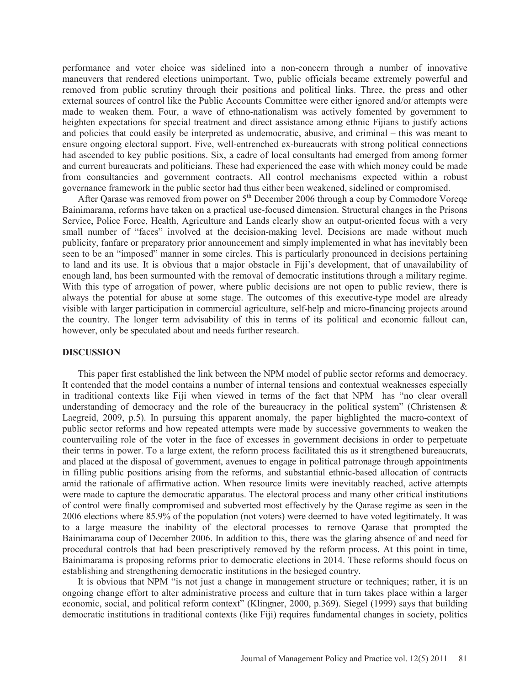performance and voter choice was sidelined into a non-concern through a number of innovative maneuvers that rendered elections unimportant. Two, public officials became extremely powerful and removed from public scrutiny through their positions and political links. Three, the press and other external sources of control like the Public Accounts Committee were either ignored and/or attempts were made to weaken them. Four, a wave of ethno-nationalism was actively fomented by government to heighten expectations for special treatment and direct assistance among ethnic Fijians to justify actions and policies that could easily be interpreted as undemocratic, abusive, and criminal – this was meant to ensure ongoing electoral support. Five, well-entrenched ex-bureaucrats with strong political connections had ascended to key public positions. Six, a cadre of local consultants had emerged from among former and current bureaucrats and politicians. These had experienced the ease with which money could be made from consultancies and government contracts. All control mechanisms expected within a robust governance framework in the public sector had thus either been weakened, sidelined or compromised.

After Qarase was removed from power on 5<sup>th</sup> December 2006 through a coup by Commodore Voreqe Bainimarama, reforms have taken on a practical use-focused dimension. Structural changes in the Prisons Service, Police Force, Health, Agriculture and Lands clearly show an output-oriented focus with a very small number of "faces" involved at the decision-making level. Decisions are made without much publicity, fanfare or preparatory prior announcement and simply implemented in what has inevitably been seen to be an "imposed" manner in some circles. This is particularly pronounced in decisions pertaining to land and its use. It is obvious that a major obstacle in Fiji's development, that of unavailability of enough land, has been surmounted with the removal of democratic institutions through a military regime. With this type of arrogation of power, where public decisions are not open to public review, there is always the potential for abuse at some stage. The outcomes of this executive-type model are already visible with larger participation in commercial agriculture, self-help and micro-financing projects around the country. The longer term advisability of this in terms of its political and economic fallout can, however, only be speculated about and needs further research.

### **DISCUSSION**

This paper first established the link between the NPM model of public sector reforms and democracy. It contended that the model contains a number of internal tensions and contextual weaknesses especially in traditional contexts like Fiji when viewed in terms of the fact that NPM has "no clear overall understanding of democracy and the role of the bureaucracy in the political system" (Christensen  $\&$ Laegreid, 2009, p.5). In pursuing this apparent anomaly, the paper highlighted the macro-context of public sector reforms and how repeated attempts were made by successive governments to weaken the countervailing role of the voter in the face of excesses in government decisions in order to perpetuate their terms in power. To a large extent, the reform process facilitated this as it strengthened bureaucrats, and placed at the disposal of government, avenues to engage in political patronage through appointments in filling public positions arising from the reforms, and substantial ethnic-based allocation of contracts amid the rationale of affirmative action. When resource limits were inevitably reached, active attempts were made to capture the democratic apparatus. The electoral process and many other critical institutions of control were finally compromised and subverted most effectively by the Qarase regime as seen in the 2006 elections where 85.9% of the population (not voters) were deemed to have voted legitimately. It was to a large measure the inability of the electoral processes to remove Qarase that prompted the Bainimarama coup of December 2006. In addition to this, there was the glaring absence of and need for procedural controls that had been prescriptively removed by the reform process. At this point in time, Bainimarama is proposing reforms prior to democratic elections in 2014. These reforms should focus on establishing and strengthening democratic institutions in the besieged country.

It is obvious that NPM "is not just a change in management structure or techniques; rather, it is an ongoing change effort to alter administrative process and culture that in turn takes place within a larger economic, social, and political reform context" (Klingner, 2000, p.369). Siegel (1999) says that building democratic institutions in traditional contexts (like Fiji) requires fundamental changes in society, politics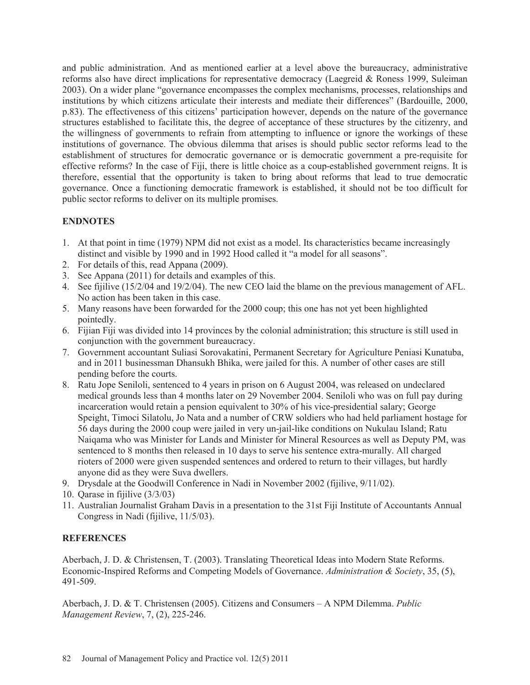and public administration. And as mentioned earlier at a level above the bureaucracy, administrative reforms also have direct implications for representative democracy (Laegreid & Roness 1999, Suleiman 2003). On a wider plane "governance encompasses the complex mechanisms, processes, relationships and institutions by which citizens articulate their interests and mediate their differences" (Bardouille, 2000, p.83). The effectiveness of this citizens' participation however, depends on the nature of the governance structures established to facilitate this, the degree of acceptance of these structures by the citizenry, and the willingness of governments to refrain from attempting to influence or ignore the workings of these institutions of governance. The obvious dilemma that arises is should public sector reforms lead to the establishment of structures for democratic governance or is democratic government a pre-requisite for effective reforms? In the case of Fiji, there is little choice as a coup-established government reigns. It is therefore, essential that the opportunity is taken to bring about reforms that lead to true democratic governance. Once a functioning democratic framework is established, it should not be too difficult for public sector reforms to deliver on its multiple promises.

# **ENDNOTES**

- 1. At that point in time (1979) NPM did not exist as a model. Its characteristics became increasingly distinct and visible by 1990 and in 1992 Hood called it "a model for all seasons".
- 2. For details of this, read Appana (2009).
- 3. See Appana (2011) for details and examples of this.
- 4. See fijilive (15/2/04 and 19/2/04). The new CEO laid the blame on the previous management of AFL. No action has been taken in this case.
- 5. Many reasons have been forwarded for the 2000 coup; this one has not yet been highlighted pointedly.
- 6. Fijian Fiji was divided into 14 provinces by the colonial administration; this structure is still used in conjunction with the government bureaucracy.
- 7. Government accountant Suliasi Sorovakatini, Permanent Secretary for Agriculture Peniasi Kunatuba, and in 2011 businessman Dhansukh Bhika, were jailed for this. A number of other cases are still pending before the courts.
- 8. Ratu Jope Seniloli, sentenced to 4 years in prison on 6 August 2004, was released on undeclared medical grounds less than 4 months later on 29 November 2004. Seniloli who was on full pay during incarceration would retain a pension equivalent to 30% of his vice-presidential salary; George Speight, Timoci Silatolu, Jo Nata and a number of CRW soldiers who had held parliament hostage for 56 days during the 2000 coup were jailed in very un-jail-like conditions on Nukulau Island; Ratu Naiqama who was Minister for Lands and Minister for Mineral Resources as well as Deputy PM, was sentenced to 8 months then released in 10 days to serve his sentence extra-murally. All charged rioters of 2000 were given suspended sentences and ordered to return to their villages, but hardly anyone did as they were Suva dwellers.
- 9. Drysdale at the Goodwill Conference in Nadi in November 2002 (fijilive, 9/11/02).
- 10. Qarase in fijilive (3/3/03)
- 11. Australian Journalist Graham Davis in a presentation to the 31st Fiji Institute of Accountants Annual Congress in Nadi (fijilive, 11/5/03).

# **REFERENCES**

Aberbach, J. D. & Christensen, T. (2003). Translating Theoretical Ideas into Modern State Reforms. Economic-Inspired Reforms and Competing Models of Governance. *Administration & Society*, 35, (5), 491-509.

Aberbach, J. D. & T. Christensen (2005). Citizens and Consumers – A NPM Dilemma. *Public Management Review*, 7, (2), 225-246.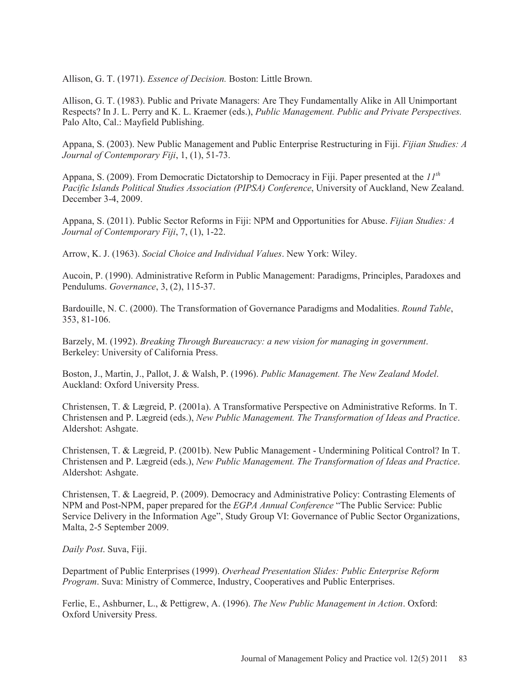Allison, G. T. (1971). *Essence of Decision.* Boston: Little Brown.

Allison, G. T. (1983). Public and Private Managers: Are They Fundamentally Alike in All Unimportant Respects? In J. L. Perry and K. L. Kraemer (eds.), *Public Management. Public and Private Perspectives.*  Palo Alto, Cal.: Mayfield Publishing.

Appana, S. (2003). New Public Management and Public Enterprise Restructuring in Fiji. *Fijian Studies: A Journal of Contemporary Fiji*, 1, (1), 51-73.

Appana, S. (2009). From Democratic Dictatorship to Democracy in Fiji. Paper presented at the *11th Pacific Islands Political Studies Association (PIPSA) Conference*, University of Auckland, New Zealand. December 3-4, 2009.

Appana, S. (2011). Public Sector Reforms in Fiji: NPM and Opportunities for Abuse. *Fijian Studies: A Journal of Contemporary Fiji*, 7, (1), 1-22.

Arrow, K. J. (1963). *Social Choice and Individual Values*. New York: Wiley.

Aucoin, P. (1990). Administrative Reform in Public Management: Paradigms, Principles, Paradoxes and Pendulums. *Governance*, 3, (2), 115-37.

Bardouille, N. C. (2000). The Transformation of Governance Paradigms and Modalities. *Round Table*, 353, 81-106.

Barzely, M. (1992). *Breaking Through Bureaucracy: a new vision for managing in government*. Berkeley: University of California Press.

Boston, J., Martin, J., Pallot, J. & Walsh, P. (1996). *Public Management. The New Zealand Model*. Auckland: Oxford University Press.

Christensen, T. & Lægreid, P. (2001a). A Transformative Perspective on Administrative Reforms. In T. Christensen and P. Lægreid (eds.), *New Public Management. The Transformation of Ideas and Practice*. Aldershot: Ashgate.

Christensen, T. & Lægreid, P. (2001b). New Public Management - Undermining Political Control? In T. Christensen and P. Lægreid (eds.), *New Public Management. The Transformation of Ideas and Practice*. Aldershot: Ashgate.

Christensen, T. & Laegreid, P. (2009). Democracy and Administrative Policy: Contrasting Elements of NPM and Post-NPM, paper prepared for the *EGPA Annual Conference* "The Public Service: Public Service Delivery in the Information Age", Study Group VI: Governance of Public Sector Organizations, Malta, 2-5 September 2009.

*Daily Post*. Suva, Fiji.

Department of Public Enterprises (1999). *Overhead Presentation Slides: Public Enterprise Reform Program*. Suva: Ministry of Commerce, Industry, Cooperatives and Public Enterprises.

Ferlie, E., Ashburner, L., & Pettigrew, A. (1996). *The New Public Management in Action*. Oxford: Oxford University Press.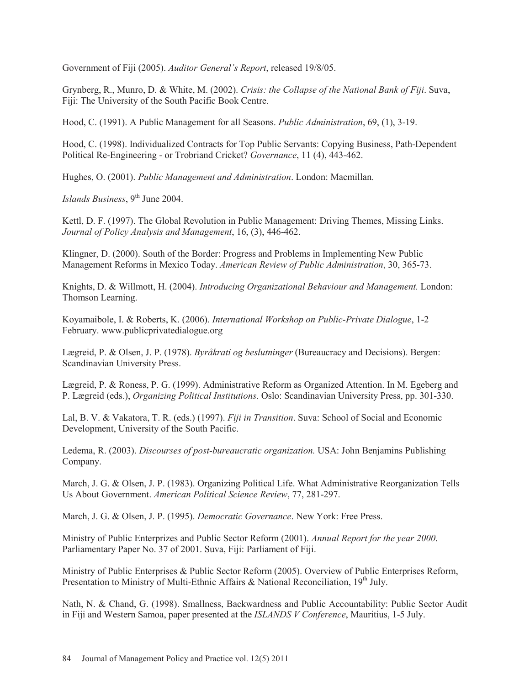Government of Fiji (2005). *Auditor General's Report*, released 19/8/05.

Grynberg, R., Munro, D. & White, M. (2002). *Crisis: the Collapse of the National Bank of Fiji*. Suva, Fiji: The University of the South Pacific Book Centre.

Hood, C. (1991). A Public Management for all Seasons. *Public Administration*, 69, (1), 3-19.

Hood, C. (1998). Individualized Contracts for Top Public Servants: Copying Business, Path-Dependent Political Re-Engineering - or Trobriand Cricket? *Governance*, 11 (4), 443-462.

Hughes, O. (2001). *Public Management and Administration*. London: Macmillan.

*Islands Business*, 9<sup>th</sup> June 2004.

Kettl, D. F. (1997). The Global Revolution in Public Management: Driving Themes, Missing Links. *Journal of Policy Analysis and Management*, 16, (3), 446-462.

Klingner, D. (2000). South of the Border: Progress and Problems in Implementing New Public Management Reforms in Mexico Today. *American Review of Public Administration*, 30, 365-73.

Knights, D. & Willmott, H. (2004). *Introducing Organizational Behaviour and Management.* London: Thomson Learning.

Koyamaibole, I. & Roberts, K. (2006). *International Workshop on Public-Private Dialogue*, 1-2 February. www.publicprivatedialogue.org

Lægreid, P. & Olsen, J. P. (1978). *Byråkrati og beslutninger* (Bureaucracy and Decisions). Bergen: Scandinavian University Press.

Lægreid, P. & Roness, P. G. (1999). Administrative Reform as Organized Attention. In M. Egeberg and P. Lægreid (eds.), *Organizing Political Institutions*. Oslo: Scandinavian University Press, pp. 301-330.

Lal, B. V. & Vakatora, T. R. (eds.) (1997). *Fiji in Transition*. Suva: School of Social and Economic Development, University of the South Pacific.

Ledema, R. (2003). *Discourses of post-bureaucratic organization.* USA: John Benjamins Publishing Company.

March, J. G. & Olsen, J. P. (1983). Organizing Political Life. What Administrative Reorganization Tells Us About Government. *American Political Science Review*, 77, 281-297.

March, J. G. & Olsen, J. P. (1995). *Democratic Governance*. New York: Free Press.

Ministry of Public Enterprizes and Public Sector Reform (2001). *Annual Report for the year 2000*. Parliamentary Paper No. 37 of 2001. Suva, Fiji: Parliament of Fiji.

Ministry of Public Enterprises & Public Sector Reform (2005). Overview of Public Enterprises Reform, Presentation to Ministry of Multi-Ethnic Affairs & National Reconciliation,  $19<sup>th</sup>$  July.

Nath, N. & Chand, G. (1998). Smallness, Backwardness and Public Accountability: Public Sector Audit in Fiji and Western Samoa, paper presented at the *ISLANDS V Conference*, Mauritius, 1-5 July.